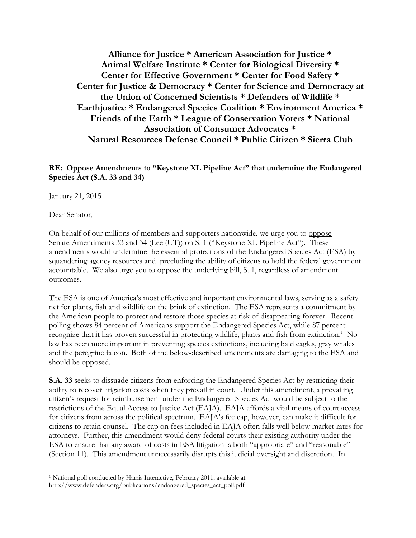**Alliance for Justice \* American Association for Justice \* Animal Welfare Institute \* Center for Biological Diversity \* Center for Effective Government \* Center for Food Safety \* Center for Justice & Democracy \* Center for Science and Democracy at the Union of Concerned Scientists \* Defenders of Wildlife \* Earthjustice \* Endangered Species Coalition \* Environment America \* Friends of the Earth \* League of Conservation Voters \* National Association of Consumer Advocates \* Natural Resources Defense Council \* Public Citizen \* Sierra Club**

**RE: Oppose Amendments to "Keystone XL Pipeline Act" that undermine the Endangered Species Act (S.A. 33 and 34)**

January 21, 2015

Dear Senator,

 $\overline{a}$ 

On behalf of our millions of members and supporters nationwide, we urge you to oppose Senate Amendments 33 and 34 (Lee (UT)) on S. 1 ("Keystone XL Pipeline Act"). These amendments would undermine the essential protections of the Endangered Species Act (ESA) by squandering agency resources and precluding the ability of citizens to hold the federal government accountable. We also urge you to oppose the underlying bill, S. 1, regardless of amendment outcomes.

The ESA is one of America's most effective and important environmental laws, serving as a safety net for plants, fish and wildlife on the brink of extinction. The ESA represents a commitment by the American people to protect and restore those species at risk of disappearing forever. Recent polling shows 84 percent of Americans support the Endangered Species Act, while 87 percent recognize that it has proven successful in protecting wildlife, plants and fish from extinction.<sup>1</sup> No law has been more important in preventing species extinctions, including bald eagles, gray whales and the peregrine falcon. Both of the below-described amendments are damaging to the ESA and should be opposed.

**S.A. 33** seeks to dissuade citizens from enforcing the Endangered Species Act by restricting their ability to recover litigation costs when they prevail in court.Under this amendment, a prevailing citizen's request for reimbursement under the Endangered Species Act would be subject to the restrictions of the Equal Access to Justice Act (EAJA). EAJA affords a vital means of court access for citizens from across the political spectrum. EAJA's fee cap, however, can make it difficult for citizens to retain counsel. The cap on fees included in EAJA often falls well below market rates for attorneys. Further, this amendment would deny federal courts their existing authority under the ESA to ensure that any award of costs in ESA litigation is both "appropriate" and "reasonable" (Section 11). This amendment unnecessarily disrupts this judicial oversight and discretion. In

<sup>&</sup>lt;sup>1</sup> National poll conducted by Harris Interactive, February 2011, available at http://www.defenders.org/publications/endangered\_species\_act\_poll.pdf